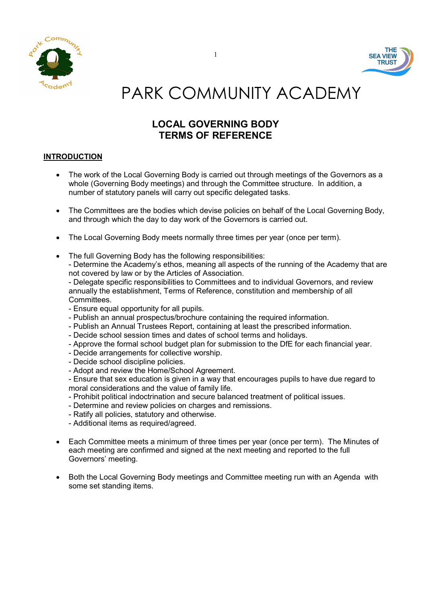



# PARK COMMUNITY ACADEMY

## LOCAL GOVERNING BODY TERMS OF REFERENCE

## INTRODUCTION

- The work of the Local Governing Body is carried out through meetings of the Governors as a whole (Governing Body meetings) and through the Committee structure. In addition, a number of statutory panels will carry out specific delegated tasks.
- The Committees are the bodies which devise policies on behalf of the Local Governing Body, and through which the day to day work of the Governors is carried out.
- The Local Governing Body meets normally three times per year (once per term).
- The full Governing Body has the following responsibilities:

- Determine the Academy's ethos, meaning all aspects of the running of the Academy that are not covered by law or by the Articles of Association.

- Delegate specific responsibilities to Committees and to individual Governors, and review annually the establishment, Terms of Reference, constitution and membership of all Committees.

- Ensure equal opportunity for all pupils.
- Publish an annual prospectus/brochure containing the required information.
- Publish an Annual Trustees Report, containing at least the prescribed information.
- Decide school session times and dates of school terms and holidays.
- Approve the formal school budget plan for submission to the DfE for each financial year.
- Decide arrangements for collective worship.
- Decide school discipline policies.
- Adopt and review the Home/School Agreement.
- Ensure that sex education is given in a way that encourages pupils to have due regard to moral considerations and the value of family life.
- Prohibit political indoctrination and secure balanced treatment of political issues.
- Determine and review policies on charges and remissions.
- Ratify all policies, statutory and otherwise.
- Additional items as required/agreed.
- Each Committee meets a minimum of three times per year (once per term). The Minutes of each meeting are confirmed and signed at the next meeting and reported to the full Governors' meeting.
- Both the Local Governing Body meetings and Committee meeting run with an Agenda with some set standing items.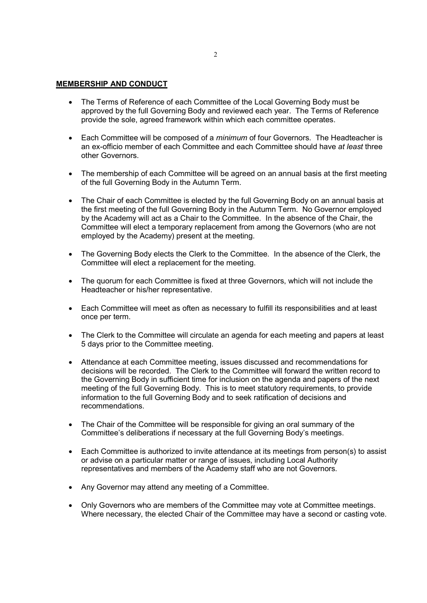#### MEMBERSHIP AND CONDUCT

- The Terms of Reference of each Committee of the Local Governing Body must be approved by the full Governing Body and reviewed each year. The Terms of Reference provide the sole, agreed framework within which each committee operates.
- Each Committee will be composed of a *minimum* of four Governors. The Headteacher is an ex-officio member of each Committee and each Committee should have at least three other Governors.
- The membership of each Committee will be agreed on an annual basis at the first meeting of the full Governing Body in the Autumn Term.
- The Chair of each Committee is elected by the full Governing Body on an annual basis at the first meeting of the full Governing Body in the Autumn Term. No Governor employed by the Academy will act as a Chair to the Committee. In the absence of the Chair, the Committee will elect a temporary replacement from among the Governors (who are not employed by the Academy) present at the meeting.
- The Governing Body elects the Clerk to the Committee. In the absence of the Clerk, the Committee will elect a replacement for the meeting.
- The quorum for each Committee is fixed at three Governors, which will not include the Headteacher or his/her representative.
- Each Committee will meet as often as necessary to fulfill its responsibilities and at least once per term.
- The Clerk to the Committee will circulate an agenda for each meeting and papers at least 5 days prior to the Committee meeting.
- Attendance at each Committee meeting, issues discussed and recommendations for decisions will be recorded. The Clerk to the Committee will forward the written record to the Governing Body in sufficient time for inclusion on the agenda and papers of the next meeting of the full Governing Body. This is to meet statutory requirements, to provide information to the full Governing Body and to seek ratification of decisions and recommendations.
- The Chair of the Committee will be responsible for giving an oral summary of the Committee's deliberations if necessary at the full Governing Body's meetings.
- Each Committee is authorized to invite attendance at its meetings from person(s) to assist or advise on a particular matter or range of issues, including Local Authority representatives and members of the Academy staff who are not Governors.
- Any Governor may attend any meeting of a Committee.
- Only Governors who are members of the Committee may vote at Committee meetings. Where necessary, the elected Chair of the Committee may have a second or casting vote.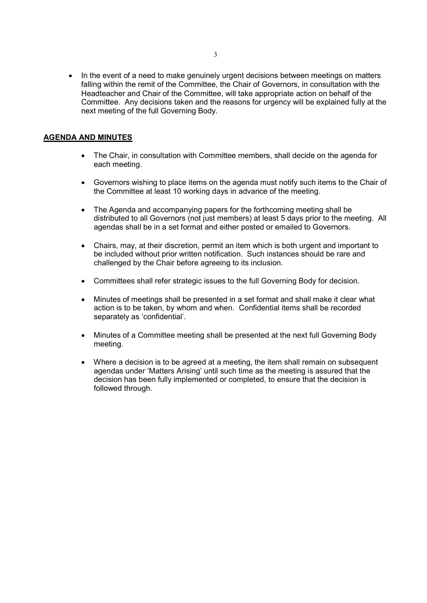• In the event of a need to make genuinely urgent decisions between meetings on matters falling within the remit of the Committee, the Chair of Governors, in consultation with the Headteacher and Chair of the Committee, will take appropriate action on behalf of the Committee. Any decisions taken and the reasons for urgency will be explained fully at the next meeting of the full Governing Body.

## AGENDA AND MINUTES

- The Chair, in consultation with Committee members, shall decide on the agenda for each meeting.
- Governors wishing to place items on the agenda must notify such items to the Chair of the Committee at least 10 working days in advance of the meeting.
- The Agenda and accompanying papers for the forthcoming meeting shall be distributed to all Governors (not just members) at least 5 days prior to the meeting. All agendas shall be in a set format and either posted or emailed to Governors.
- Chairs, may, at their discretion, permit an item which is both urgent and important to be included without prior written notification. Such instances should be rare and challenged by the Chair before agreeing to its inclusion.
- Committees shall refer strategic issues to the full Governing Body for decision.
- Minutes of meetings shall be presented in a set format and shall make it clear what action is to be taken, by whom and when. Confidential items shall be recorded separately as 'confidential'.
- Minutes of a Committee meeting shall be presented at the next full Governing Body meeting.
- Where a decision is to be agreed at a meeting, the item shall remain on subsequent agendas under 'Matters Arising' until such time as the meeting is assured that the decision has been fully implemented or completed, to ensure that the decision is followed through.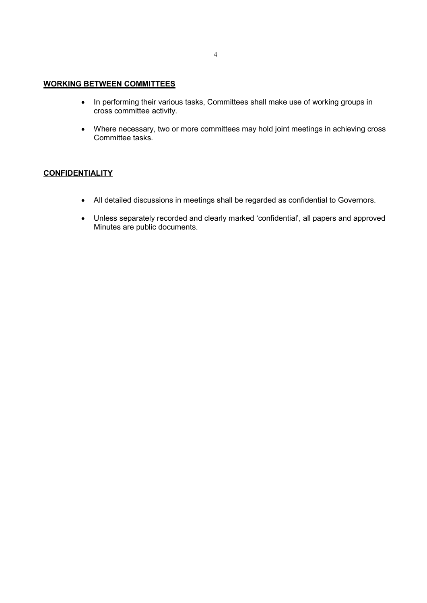## WORKING BETWEEN COMMITTEES

- In performing their various tasks, Committees shall make use of working groups in cross committee activity.
- Where necessary, two or more committees may hold joint meetings in achieving cross Committee tasks.

## **CONFIDENTIALITY**

- All detailed discussions in meetings shall be regarded as confidential to Governors.
- Unless separately recorded and clearly marked 'confidential', all papers and approved Minutes are public documents.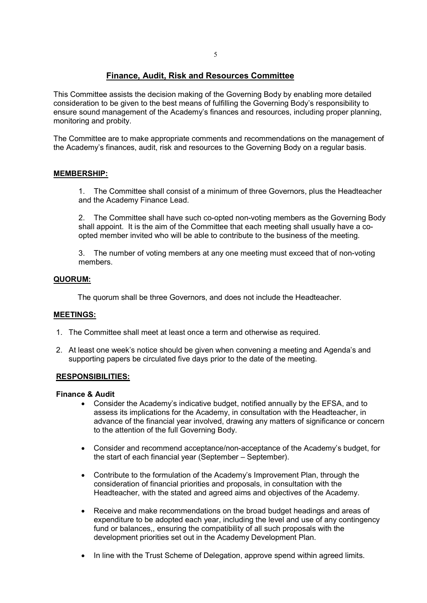## Finance, Audit, Risk and Resources Committee

This Committee assists the decision making of the Governing Body by enabling more detailed consideration to be given to the best means of fulfilling the Governing Body's responsibility to ensure sound management of the Academy's finances and resources, including proper planning, monitoring and probity.

The Committee are to make appropriate comments and recommendations on the management of the Academy's finances, audit, risk and resources to the Governing Body on a regular basis.

## MEMBERSHIP:

1. The Committee shall consist of a minimum of three Governors, plus the Headteacher and the Academy Finance Lead.

2. The Committee shall have such co-opted non-voting members as the Governing Body shall appoint. It is the aim of the Committee that each meeting shall usually have a coopted member invited who will be able to contribute to the business of the meeting.

3. The number of voting members at any one meeting must exceed that of non-voting members.

## QUORUM:

The quorum shall be three Governors, and does not include the Headteacher.

## MEETINGS:

- 1. The Committee shall meet at least once a term and otherwise as required.
- 2. At least one week's notice should be given when convening a meeting and Agenda's and supporting papers be circulated five days prior to the date of the meeting.

## RESPONSIBILITIES:

#### Finance & Audit

- Consider the Academy's indicative budget, notified annually by the EFSA, and to assess its implications for the Academy, in consultation with the Headteacher, in advance of the financial year involved, drawing any matters of significance or concern to the attention of the full Governing Body.
- Consider and recommend acceptance/non-acceptance of the Academy's budget, for the start of each financial year (September – September).
- Contribute to the formulation of the Academy's Improvement Plan, through the consideration of financial priorities and proposals, in consultation with the Headteacher, with the stated and agreed aims and objectives of the Academy.
- Receive and make recommendations on the broad budget headings and areas of expenditure to be adopted each year, including the level and use of any contingency fund or balances,, ensuring the compatibility of all such proposals with the development priorities set out in the Academy Development Plan.
- In line with the Trust Scheme of Delegation, approve spend within agreed limits.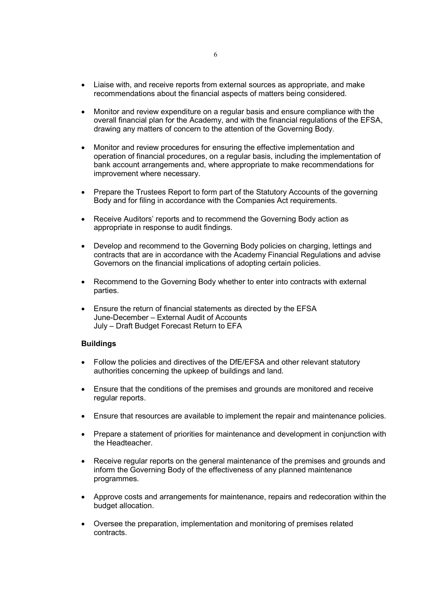- Liaise with, and receive reports from external sources as appropriate, and make recommendations about the financial aspects of matters being considered.
- Monitor and review expenditure on a regular basis and ensure compliance with the overall financial plan for the Academy, and with the financial regulations of the EFSA, drawing any matters of concern to the attention of the Governing Body.
- Monitor and review procedures for ensuring the effective implementation and operation of financial procedures, on a regular basis, including the implementation of bank account arrangements and, where appropriate to make recommendations for improvement where necessary.
- Prepare the Trustees Report to form part of the Statutory Accounts of the governing Body and for filing in accordance with the Companies Act requirements.
- Receive Auditors' reports and to recommend the Governing Body action as appropriate in response to audit findings.
- Develop and recommend to the Governing Body policies on charging, lettings and contracts that are in accordance with the Academy Financial Regulations and advise Governors on the financial implications of adopting certain policies.
- Recommend to the Governing Body whether to enter into contracts with external parties.
- Ensure the return of financial statements as directed by the EFSA June-December – External Audit of Accounts July – Draft Budget Forecast Return to EFA

## **Buildings**

- Follow the policies and directives of the DfE/EFSA and other relevant statutory authorities concerning the upkeep of buildings and land.
- Ensure that the conditions of the premises and grounds are monitored and receive regular reports.
- Ensure that resources are available to implement the repair and maintenance policies.
- Prepare a statement of priorities for maintenance and development in conjunction with the Headteacher.
- Receive regular reports on the general maintenance of the premises and grounds and inform the Governing Body of the effectiveness of any planned maintenance programmes.
- Approve costs and arrangements for maintenance, repairs and redecoration within the budget allocation.
- Oversee the preparation, implementation and monitoring of premises related contracts.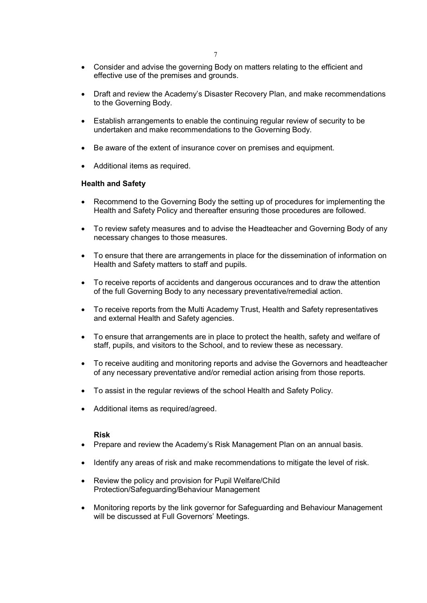- Consider and advise the governing Body on matters relating to the efficient and effective use of the premises and grounds.
- Draft and review the Academy's Disaster Recovery Plan, and make recommendations to the Governing Body.
- Establish arrangements to enable the continuing regular review of security to be undertaken and make recommendations to the Governing Body.
- Be aware of the extent of insurance cover on premises and equipment.
- Additional items as required.

#### Health and Safety

- Recommend to the Governing Body the setting up of procedures for implementing the Health and Safety Policy and thereafter ensuring those procedures are followed.
- To review safety measures and to advise the Headteacher and Governing Body of any necessary changes to those measures.
- To ensure that there are arrangements in place for the dissemination of information on Health and Safety matters to staff and pupils.
- To receive reports of accidents and dangerous occurances and to draw the attention of the full Governing Body to any necessary preventative/remedial action.
- To receive reports from the Multi Academy Trust, Health and Safety representatives and external Health and Safety agencies.
- To ensure that arrangements are in place to protect the health, safety and welfare of staff, pupils, and visitors to the School, and to review these as necessary.
- To receive auditing and monitoring reports and advise the Governors and headteacher of any necessary preventative and/or remedial action arising from those reports.
- To assist in the regular reviews of the school Health and Safety Policy.
- Additional items as required/agreed.

#### Risk

- Prepare and review the Academy's Risk Management Plan on an annual basis.
- Identify any areas of risk and make recommendations to mitigate the level of risk.
- Review the policy and provision for Pupil Welfare/Child Protection/Safeguarding/Behaviour Management
- Monitoring reports by the link governor for Safeguarding and Behaviour Management will be discussed at Full Governors' Meetings.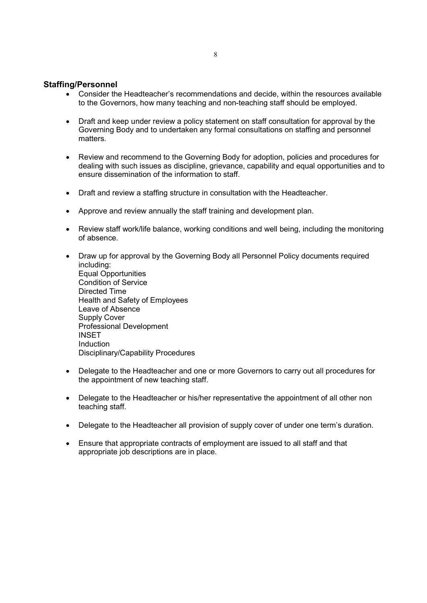## Staffing/Personnel

- Consider the Headteacher's recommendations and decide, within the resources available to the Governors, how many teaching and non-teaching staff should be employed.
- Draft and keep under review a policy statement on staff consultation for approval by the Governing Body and to undertaken any formal consultations on staffing and personnel matters.
- Review and recommend to the Governing Body for adoption, policies and procedures for dealing with such issues as discipline, grievance, capability and equal opportunities and to ensure dissemination of the information to staff.
- Draft and review a staffing structure in consultation with the Headteacher.
- Approve and review annually the staff training and development plan.
- Review staff work/life balance, working conditions and well being, including the monitoring of absence.
- Draw up for approval by the Governing Body all Personnel Policy documents required including: Equal Opportunities Condition of Service Directed Time Health and Safety of Employees Leave of Absence Supply Cover Professional Development INSET **Induction** Disciplinary/Capability Procedures
- Delegate to the Headteacher and one or more Governors to carry out all procedures for the appointment of new teaching staff.
- Delegate to the Headteacher or his/her representative the appointment of all other non teaching staff.
- Delegate to the Headteacher all provision of supply cover of under one term's duration.
- Ensure that appropriate contracts of employment are issued to all staff and that appropriate job descriptions are in place.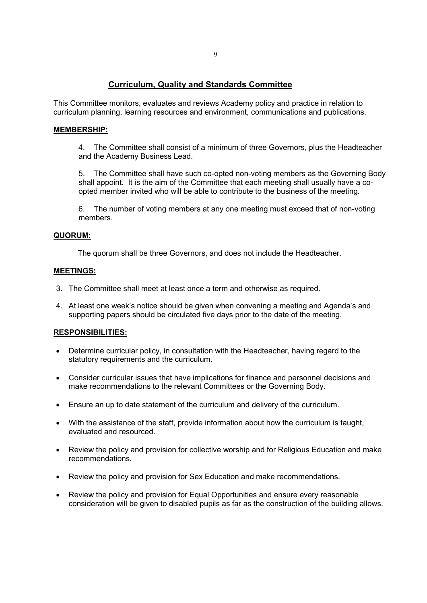## Curriculum, Quality and Standards Committee

This Committee monitors, evaluates and reviews Academy policy and practice in relation to curriculum planning, learning resources and environment, communications and publications.

## MEMBERSHIP:

4. The Committee shall consist of a minimum of three Governors, plus the Headteacher and the Academy Business Lead.

5. The Committee shall have such co-opted non-voting members as the Governing Body shall appoint. It is the aim of the Committee that each meeting shall usually have a coopted member invited who will be able to contribute to the business of the meeting.

6. The number of voting members at any one meeting must exceed that of non-voting members.

## QUORUM:

The quorum shall be three Governors, and does not include the Headteacher.

## MEETINGS:

- 3. The Committee shall meet at least once a term and otherwise as required.
- 4. At least one week's notice should be given when convening a meeting and Agenda's and supporting papers should be circulated five days prior to the date of the meeting.

## RESPONSIBILITIES:

- Determine curricular policy, in consultation with the Headteacher, having regard to the statutory requirements and the curriculum.
- Consider curricular issues that have implications for finance and personnel decisions and make recommendations to the relevant Committees or the Governing Body.
- Ensure an up to date statement of the curriculum and delivery of the curriculum.
- With the assistance of the staff, provide information about how the curriculum is taught, evaluated and resourced.
- Review the policy and provision for collective worship and for Religious Education and make recommendations.
- Review the policy and provision for Sex Education and make recommendations.
- Review the policy and provision for Equal Opportunities and ensure every reasonable consideration will be given to disabled pupils as far as the construction of the building allows.